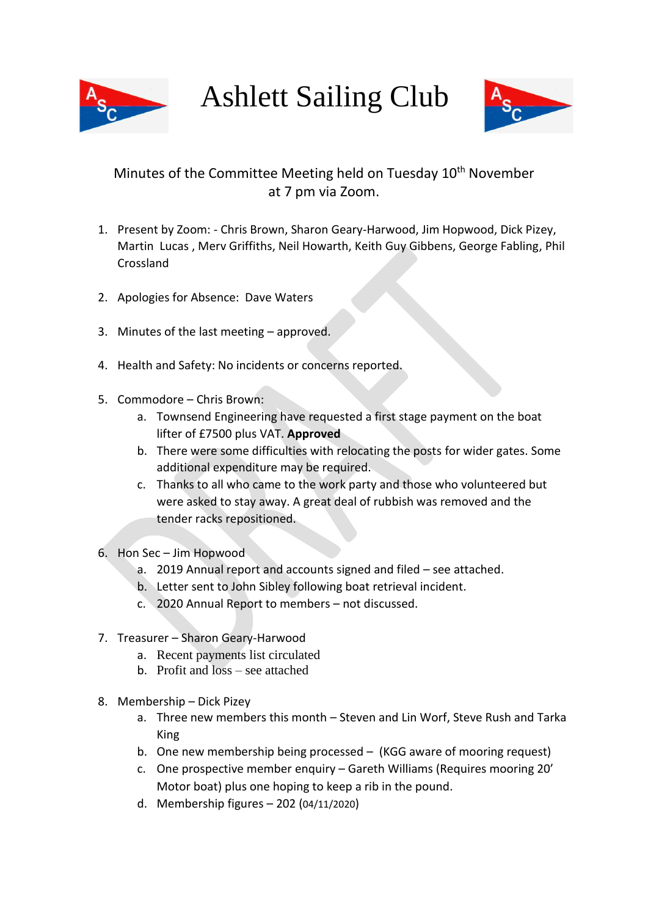

Ashlett Sailing Club



## Minutes of the Committee Meeting held on Tuesday 10<sup>th</sup> November at 7 pm via Zoom.

- 1. Present by Zoom: Chris Brown, Sharon Geary-Harwood, Jim Hopwood, Dick Pizey, Martin Lucas , Merv Griffiths, Neil Howarth, Keith Guy Gibbens, George Fabling, Phil Crossland
- 2. Apologies for Absence: Dave Waters
- 3. Minutes of the last meeting approved.
- 4. Health and Safety: No incidents or concerns reported.
- 5. Commodore Chris Brown:
	- a. Townsend Engineering have requested a first stage payment on the boat lifter of £7500 plus VAT. **Approved**
	- b. There were some difficulties with relocating the posts for wider gates. Some additional expenditure may be required.
	- c. Thanks to all who came to the work party and those who volunteered but were asked to stay away. A great deal of rubbish was removed and the tender racks repositioned.
- 6. Hon Sec Jim Hopwood
	- a. 2019 Annual report and accounts signed and filed see attached.
	- b. Letter sent to John Sibley following boat retrieval incident.
	- c. 2020 Annual Report to members not discussed.
- 7. Treasurer Sharon Geary-Harwood
	- a. Recent payments list circulated
	- b. Profit and loss see attached
- 8. Membership Dick Pizey
	- a. Three new members this month Steven and Lin Worf, Steve Rush and Tarka King
	- b. One new membership being processed (KGG aware of mooring request)
	- c. One prospective member enquiry Gareth Williams (Requires mooring 20' Motor boat) plus one hoping to keep a rib in the pound.
	- d. Membership figures 202 (04/11/2020)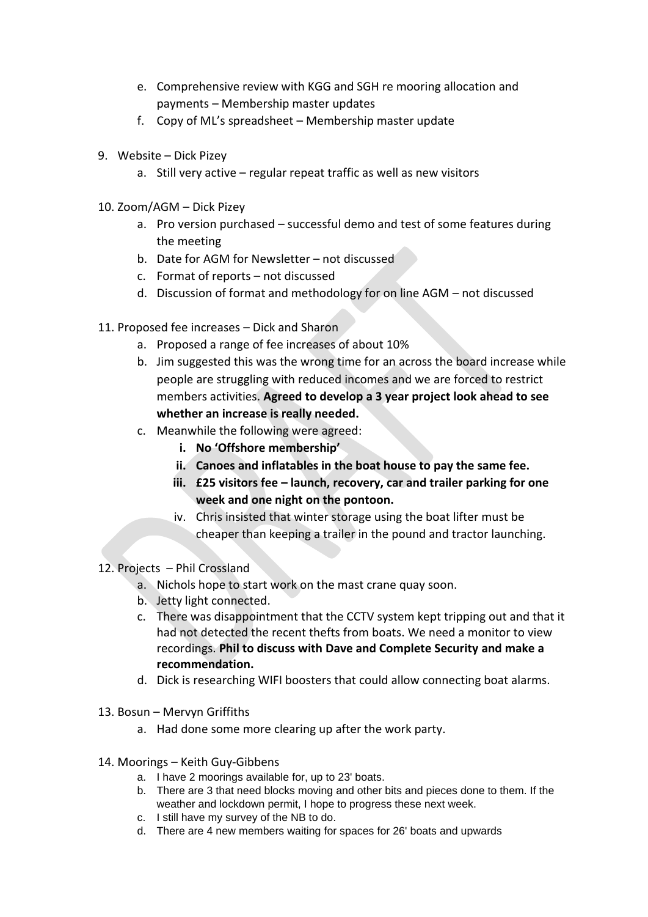- e. Comprehensive review with KGG and SGH re mooring allocation and payments – Membership master updates
- f. Copy of ML's spreadsheet Membership master update
- 9. Website Dick Pizey
	- a. Still very active regular repeat traffic as well as new visitors
- 10. Zoom/AGM Dick Pizey
	- a. Pro version purchased successful demo and test of some features during the meeting
	- b. Date for AGM for Newsletter not discussed
	- c. Format of reports not discussed
	- d. Discussion of format and methodology for on line AGM not discussed
- 11. Proposed fee increases Dick and Sharon
	- a. Proposed a range of fee increases of about 10%
	- b. Jim suggested this was the wrong time for an across the board increase while people are struggling with reduced incomes and we are forced to restrict members activities. **Agreed to develop a 3 year project look ahead to see whether an increase is really needed.**
	- c. Meanwhile the following were agreed:
		- **i. No 'Offshore membership'**
		- **ii. Canoes and inflatables in the boat house to pay the same fee.**
		- **iii. £25 visitors fee – launch, recovery, car and trailer parking for one week and one night on the pontoon.**
		- iv. Chris insisted that winter storage using the boat lifter must be cheaper than keeping a trailer in the pound and tractor launching.
- 12. Projects Phil Crossland
	- a. Nichols hope to start work on the mast crane quay soon.
	- b. Jetty light connected.
	- c. There was disappointment that the CCTV system kept tripping out and that it had not detected the recent thefts from boats. We need a monitor to view recordings. **Phil to discuss with Dave and Complete Security and make a recommendation.**
	- d. Dick is researching WIFI boosters that could allow connecting boat alarms.
- 13. Bosun Mervyn Griffiths
	- a. Had done some more clearing up after the work party.
- 14. Moorings Keith Guy-Gibbens
	- a. I have 2 moorings available for, up to 23' boats.
	- b. There are 3 that need blocks moving and other bits and pieces done to them. If the weather and lockdown permit, I hope to progress these next week.
	- c. I still have my survey of the NB to do.
	- d. There are 4 new members waiting for spaces for 26' boats and upwards